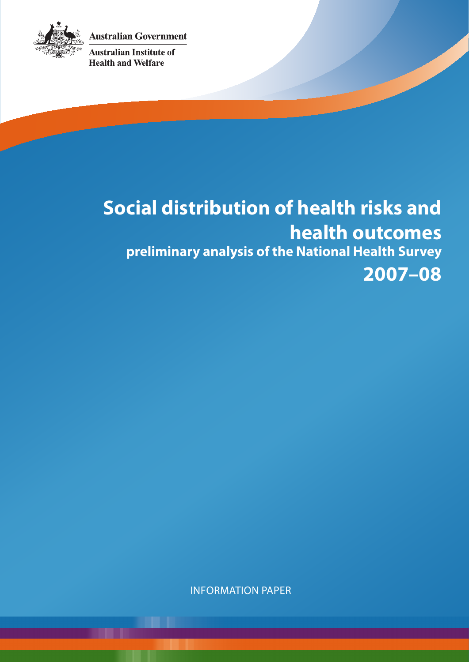**Australian Government** 



**Australian Institute of Health and Welfare** 

# **Social distribution of health risks and health outcomes preliminary analysis of the National Health Survey 2007–08**

Information Paper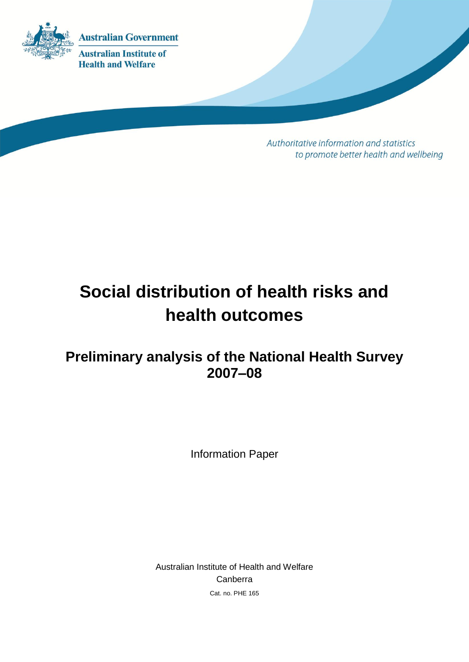

**Australian Institute of Health and Welfare** 

> Authoritative information and statistics to promote better health and wellbeing

# **Social distribution of health risks and health outcomes**

## **Preliminary analysis of the National Health Survey 2007–08**

Information Paper

Australian Institute of Health and Welfare Canberra Cat. no. PHE 165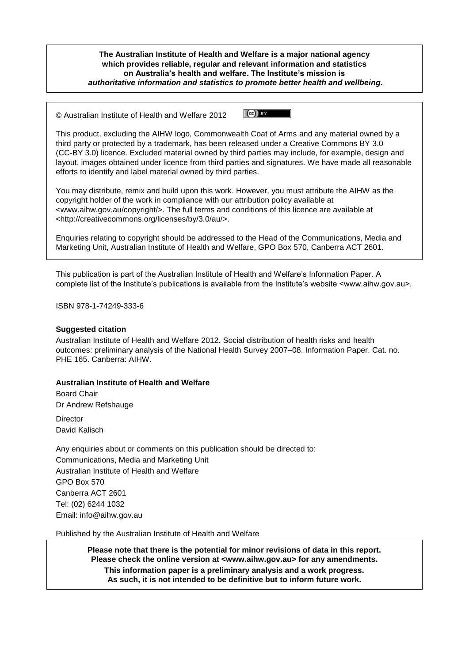**The Australian Institute of Health and Welfare is a major national agency which provides reliable, regular and relevant information and statistics on Australia's health and welfare. The Institute's mission is** *authoritative information and statistics to promote better health and wellbeing***.**

 $(cc)$  BY © Australian Institute of Health and Welfare 2012

This product, excluding the AIHW logo, Commonwealth Coat of Arms and any material owned by a third party or protected by a trademark, has been released under a Creative Commons BY 3.0 (CC-BY 3.0) licence. Excluded material owned by third parties may include, for example, design and layout, images obtained under licence from third parties and signatures. We have made all reasonable efforts to identify and label material owned by third parties.

You may distribute, remix and build upon this work. However, you must attribute the AIHW as the copyright holder of the work in compliance with our attribution policy available at <www.aihw.gov.au/copyright/>. The full terms and conditions of this licence are available at <http://creativecommons.org/licenses/by/3.0/au/>.

Enquiries relating to copyright should be addressed to the Head of the Communications, Media and Marketing Unit, Australian Institute of Health and Welfare, GPO Box 570, Canberra ACT 2601.

This publication is part of the Australian Institute of Health and Welfare's Information Paper. A complete list of the Institute's publications is available from the Institute's website <www.aihw.gov.au>.

ISBN 978-1-74249-333-6

#### **Suggested citation**

Australian Institute of Health and Welfare 2012. Social distribution of health risks and health outcomes: preliminary analysis of the National Health Survey 2007–08. Information Paper. Cat. no. PHE 165. Canberra: AIHW.

#### **Australian Institute of Health and Welfare**

Board Chair Dr Andrew Refshauge

**Director** David Kalisch

Any enquiries about or comments on this publication should be directed to: Communications, Media and Marketing Unit Australian Institute of Health and Welfare GPO Box 570 Canberra ACT 2601 Tel: (02) 6244 1032 Email: info@aihw.gov.au

Published by the Australian Institute of Health and Welfare

**Please note that there is the potential for minor revisions of data in this report. Please check the online version at <www.aihw.gov.au> for any amendments. This information paper is a preliminary analysis and a work progress. As such, it is not intended to be definitive but to inform future work.**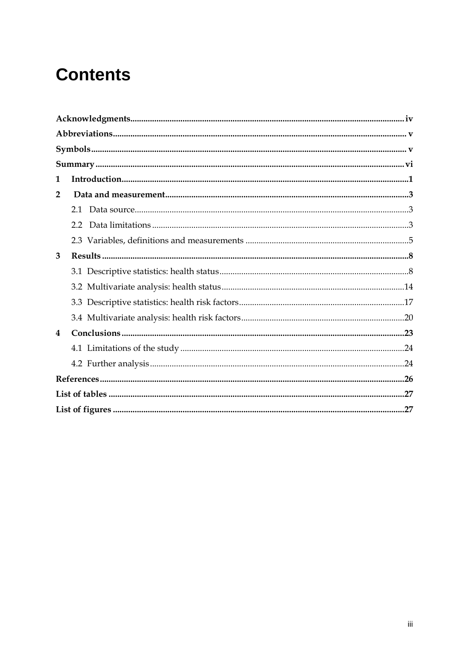# **Contents**

| 1 |  |
|---|--|
| 2 |  |
|   |  |
|   |  |
|   |  |
| 3 |  |
|   |  |
|   |  |
|   |  |
|   |  |
| 4 |  |
|   |  |
|   |  |
|   |  |
|   |  |
|   |  |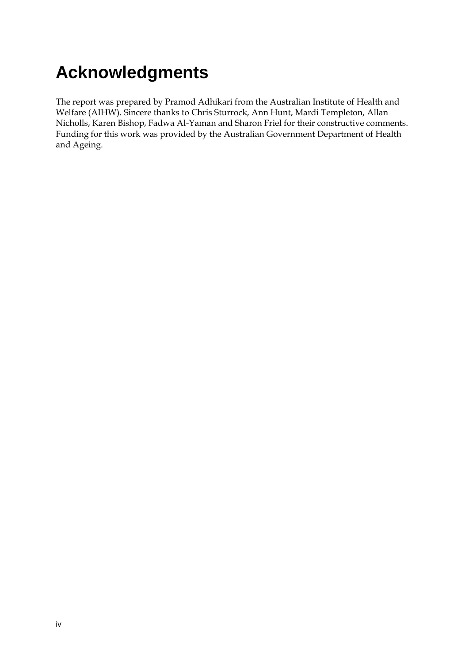# <span id="page-4-0"></span>**Acknowledgments**

The report was prepared by Pramod Adhikari from the Australian Institute of Health and Welfare (AIHW). Sincere thanks to Chris Sturrock, Ann Hunt, Mardi Templeton, Allan Nicholls, Karen Bishop, Fadwa Al-Yaman and Sharon Friel for their constructive comments. Funding for this work was provided by the Australian Government Department of Health and Ageing.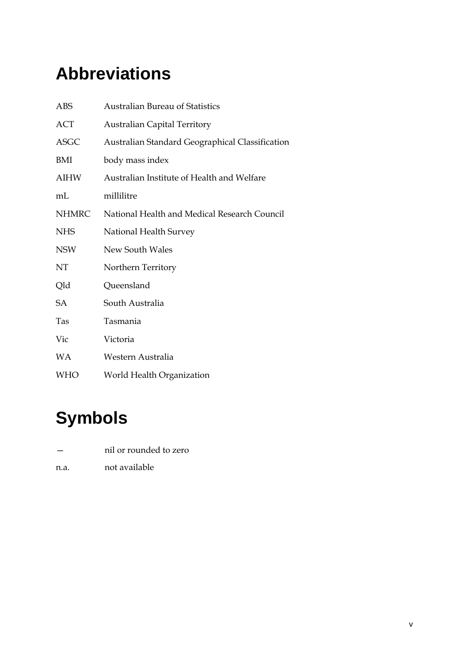# <span id="page-5-0"></span>**Abbreviations**

| ABS          | <b>Australian Bureau of Statistics</b>          |
|--------------|-------------------------------------------------|
| <b>ACT</b>   | <b>Australian Capital Territory</b>             |
| ASGC         | Australian Standard Geographical Classification |
| BMI          | body mass index                                 |
| AIHW         | Australian Institute of Health and Welfare      |
| mL           | millilitre                                      |
| <b>NHMRC</b> | National Health and Medical Research Council    |
| <b>NHS</b>   | National Health Survey                          |
| NSW          | New South Wales                                 |
| NT           | Northern Territory                              |
| Qld          | Queensland                                      |
| <b>SA</b>    | South Australia                                 |
| Tas          | Tasmania                                        |
| Vic          | Victoria                                        |
| WA           | Western Australia                               |
| WHO          | World Health Organization                       |

## <span id="page-5-1"></span>**Symbols**

- nil or rounded to zero
- n.a. not available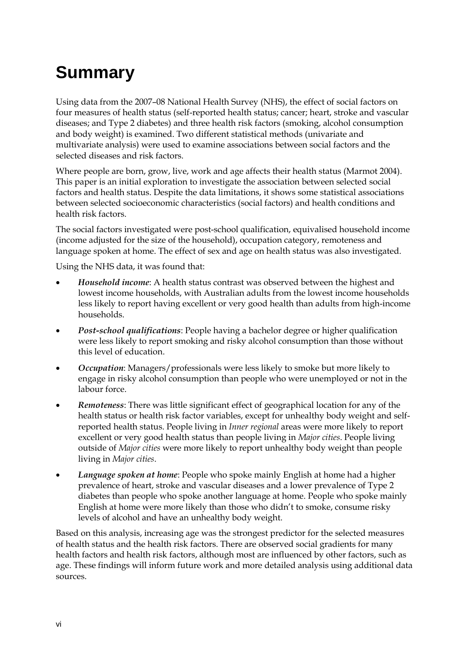# <span id="page-6-0"></span>**Summary**

Using data from the 2007–08 National Health Survey (NHS), the effect of social factors on four measures of health status (self-reported health status; cancer; heart, stroke and vascular diseases; and Type 2 diabetes) and three health risk factors (smoking, alcohol consumption and body weight) is examined. Two different statistical methods (univariate and multivariate analysis) were used to examine associations between social factors and the selected diseases and risk factors.

Where people are born, grow, live, work and age affects their health status (Marmot 2004). This paper is an initial exploration to investigate the association between selected social factors and health status. Despite the data limitations, it shows some statistical associations between selected socioeconomic characteristics (social factors) and health conditions and health risk factors.

The social factors investigated were post-school qualification, equivalised household income (income adjusted for the size of the household), occupation category, remoteness and language spoken at home. The effect of sex and age on health status was also investigated.

Using the NHS data, it was found that:

- *Household income*: A health status contrast was observed between the highest and lowest income households, with Australian adults from the lowest income households less likely to report having excellent or very good health than adults from high-income households.
- *Post-school qualifications*: People having a bachelor degree or higher qualification were less likely to report smoking and risky alcohol consumption than those without this level of education.
- *Occupation*: Managers/professionals were less likely to smoke but more likely to engage in risky alcohol consumption than people who were unemployed or not in the labour force.
- *Remoteness*: There was little significant effect of geographical location for any of the health status or health risk factor variables, except for unhealthy body weight and selfreported health status. People living in *Inner regional* areas were more likely to report excellent or very good health status than people living in *Major cities*. People living outside of *Major cities* were more likely to report unhealthy body weight than people living in *Major cities*.
- *Language spoken at home*: People who spoke mainly English at home had a higher prevalence of heart, stroke and vascular diseases and a lower prevalence of Type 2 diabetes than people who spoke another language at home. People who spoke mainly English at home were more likely than those who didn't to smoke, consume risky levels of alcohol and have an unhealthy body weight.

Based on this analysis, increasing age was the strongest predictor for the selected measures of health status and the health risk factors. There are observed social gradients for many health factors and health risk factors, although most are influenced by other factors, such as age. These findings will inform future work and more detailed analysis using additional data sources.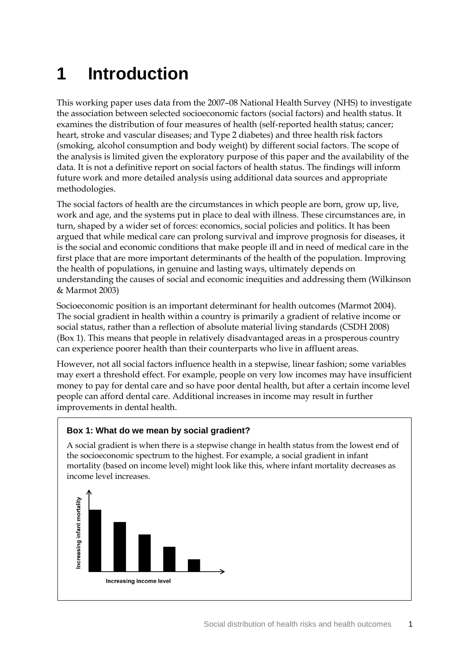# <span id="page-7-0"></span>**1 Introduction**

This working paper uses data from the 2007–08 National Health Survey (NHS) to investigate the association between selected socioeconomic factors (social factors) and health status. It examines the distribution of four measures of health (self-reported health status; cancer; heart, stroke and vascular diseases; and Type 2 diabetes) and three health risk factors (smoking, alcohol consumption and body weight) by different social factors. The scope of the analysis is limited given the exploratory purpose of this paper and the availability of the data. It is not a definitive report on social factors of health status. The findings will inform future work and more detailed analysis using additional data sources and appropriate methodologies.

The social factors of health are the circumstances in which people are born, grow up, live, work and age, and the systems put in place to deal with illness. These circumstances are, in turn, shaped by a wider set of forces: economics, social policies and politics. It has been argued that while medical care can prolong survival and improve prognosis for diseases, it is the social and economic conditions that make people ill and in need of medical care in the first place that are more important determinants of the health of the population. Improving the health of populations, in genuine and lasting ways, ultimately depends on understanding the causes of social and economic inequities and addressing them (Wilkinson & Marmot 2003)

Socioeconomic position is an important determinant for health outcomes (Marmot 2004). The social gradient in health within a country is primarily a gradient of relative income or social status, rather than a reflection of absolute material living standards (CSDH 2008) (Box 1). This means that people in relatively disadvantaged areas in a prosperous country can experience poorer health than their counterparts who live in affluent areas.

However, not all social factors influence health in a stepwise, linear fashion; some variables may exert a threshold effect. For example, people on very low incomes may have insufficient money to pay for dental care and so have poor dental health, but after a certain income level people can afford dental care. Additional increases in income may result in further improvements in dental health.

#### **Box 1: What do we mean by social gradient?**

A social gradient is when there is a stepwise change in health status from the lowest end of the socioeconomic spectrum to the highest. For example, a social gradient in infant mortality (based on income level) might look like this, where infant mortality decreases as income level increases.

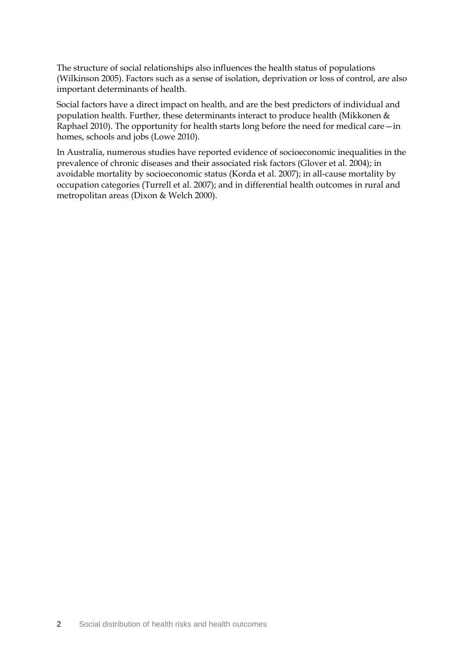The structure of social relationships also influences the health status of populations (Wilkinson 2005). Factors such as a sense of isolation, deprivation or loss of control, are also important determinants of health.

Social factors have a direct impact on health, and are the best predictors of individual and population health. Further, these determinants interact to produce health (Mikkonen & Raphael 2010). The opportunity for health starts long before the need for medical care—in homes, schools and jobs (Lowe 2010).

In Australia, numerous studies have reported evidence of socioeconomic inequalities in the prevalence of chronic diseases and their associated risk factors (Glover et al. 2004); in avoidable mortality by socioeconomic status (Korda et al. 2007); in all-cause mortality by occupation categories (Turrell et al. 2007); and in differential health outcomes in rural and metropolitan areas (Dixon & Welch 2000).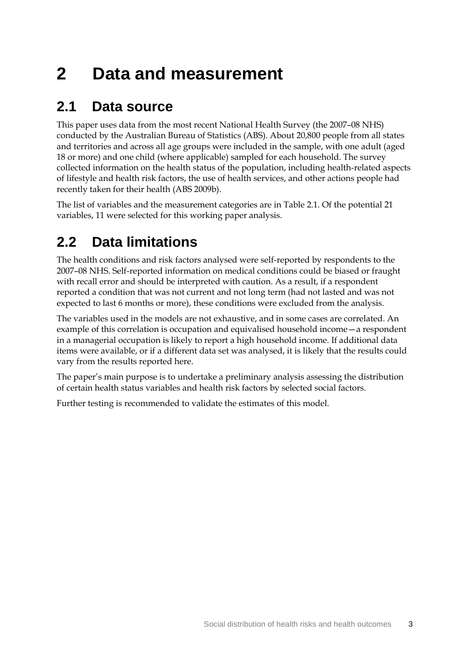# <span id="page-9-0"></span>**2 Data and measurement**

## <span id="page-9-1"></span>**2.1 Data source**

This paper uses data from the most recent National Health Survey (the 2007–08 NHS) conducted by the Australian Bureau of Statistics (ABS). About 20,800 people from all states and territories and across all age groups were included in the sample, with one adult (aged 18 or more) and one child (where applicable) sampled for each household. The survey collected information on the health status of the population, including health-related aspects of lifestyle and health risk factors, the use of health services, and other actions people had recently taken for their health (ABS 2009b).

The list of variables and the measurement categories are in Table 2.1. Of the potential 21 variables, 11 were selected for this working paper analysis.

## <span id="page-9-2"></span>**2.2 Data limitations**

The health conditions and risk factors analysed were self-reported by respondents to the 2007–08 NHS. Self-reported information on medical conditions could be biased or fraught with recall error and should be interpreted with caution. As a result, if a respondent reported a condition that was not current and not long term (had not lasted and was not expected to last 6 months or more), these conditions were excluded from the analysis.

The variables used in the models are not exhaustive, and in some cases are correlated. An example of this correlation is occupation and equivalised household income—a respondent in a managerial occupation is likely to report a high household income. If additional data items were available, or if a different data set was analysed, it is likely that the results could vary from the results reported here.

The paper's main purpose is to undertake a preliminary analysis assessing the distribution of certain health status variables and health risk factors by selected social factors.

Further testing is recommended to validate the estimates of this model.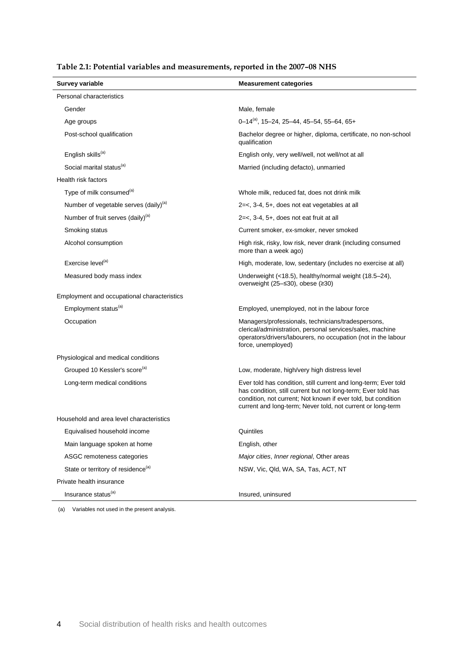| Survey variable                                   | <b>Measurement categories</b>                                                                                                                                                                                                                                    |
|---------------------------------------------------|------------------------------------------------------------------------------------------------------------------------------------------------------------------------------------------------------------------------------------------------------------------|
| Personal characteristics                          |                                                                                                                                                                                                                                                                  |
| Gender                                            | Male, female                                                                                                                                                                                                                                                     |
| Age groups                                        | $0-14^{(a)}$ , 15-24, 25-44, 45-54, 55-64, 65+                                                                                                                                                                                                                   |
| Post-school qualification                         | Bachelor degree or higher, diploma, certificate, no non-school<br>qualification                                                                                                                                                                                  |
| English skills <sup>(a)</sup>                     | English only, very well/well, not well/not at all                                                                                                                                                                                                                |
| Social marital status <sup>(a)</sup>              | Married (including defacto), unmarried                                                                                                                                                                                                                           |
| Health risk factors                               |                                                                                                                                                                                                                                                                  |
| Type of milk consumed <sup>(a)</sup>              | Whole milk, reduced fat, does not drink milk                                                                                                                                                                                                                     |
| Number of vegetable serves (daily) <sup>(a)</sup> | 2=<, 3-4, 5+, does not eat vegetables at all                                                                                                                                                                                                                     |
| Number of fruit serves (daily) <sup>(a)</sup>     | $2 = <$ , 3-4, 5+, does not eat fruit at all                                                                                                                                                                                                                     |
| Smoking status                                    | Current smoker, ex-smoker, never smoked                                                                                                                                                                                                                          |
| Alcohol consumption                               | High risk, risky, low risk, never drank (including consumed<br>more than a week ago)                                                                                                                                                                             |
| Exercise level <sup>(a)</sup>                     | High, moderate, low, sedentary (includes no exercise at all)                                                                                                                                                                                                     |
| Measured body mass index                          | Underweight (<18.5), healthy/normal weight (18.5-24),<br>overweight (25- $\leq$ 30), obese ( $\geq$ 30)                                                                                                                                                          |
| Employment and occupational characteristics       |                                                                                                                                                                                                                                                                  |
| Employment status <sup>(a)</sup>                  | Employed, unemployed, not in the labour force                                                                                                                                                                                                                    |
| Occupation                                        | Managers/professionals, technicians/tradespersons,<br>clerical/administration, personal services/sales, machine<br>operators/drivers/labourers, no occupation (not in the labour<br>force, unemployed)                                                           |
| Physiological and medical conditions              |                                                                                                                                                                                                                                                                  |
| Grouped 10 Kessler's score <sup>(a)</sup>         | Low, moderate, high/very high distress level                                                                                                                                                                                                                     |
| Long-term medical conditions                      | Ever told has condition, still current and long-term; Ever told<br>has condition, still current but not long-term; Ever told has<br>condition, not current; Not known if ever told, but condition<br>current and long-term; Never told, not current or long-term |
| Household and area level characteristics          |                                                                                                                                                                                                                                                                  |
| Equivalised household income                      | Quintiles                                                                                                                                                                                                                                                        |
| Main language spoken at home                      | English, other                                                                                                                                                                                                                                                   |
| ASGC remoteness categories                        | Major cities, Inner regional, Other areas                                                                                                                                                                                                                        |
| State or territory of residence <sup>(a)</sup>    | NSW, Vic, Qld, WA, SA, Tas, ACT, NT                                                                                                                                                                                                                              |
| Private health insurance                          |                                                                                                                                                                                                                                                                  |
| Insurance status <sup>(a)</sup>                   | Insured, uninsured                                                                                                                                                                                                                                               |

<span id="page-10-0"></span>**Table 2.1: Potential variables and measurements, reported in the 2007–08 NHS**

(a) Variables not used in the present analysis.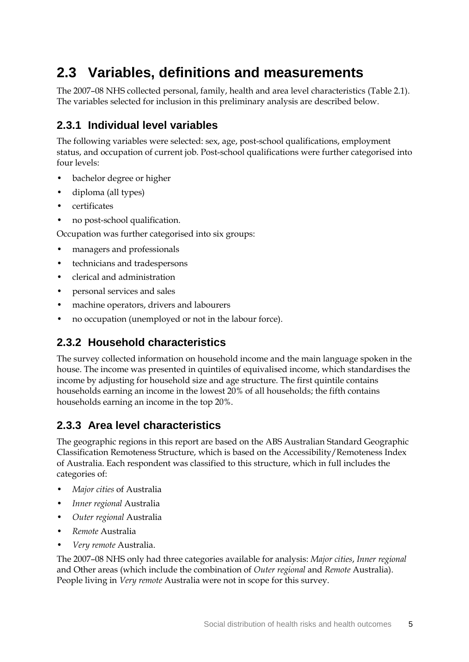## <span id="page-11-0"></span>**2.3 Variables, definitions and measurements**

The 2007–08 NHS collected personal, family, health and area level characteristics (Table 2.1). The variables selected for inclusion in this preliminary analysis are described below.

### **2.3.1 Individual level variables**

The following variables were selected: sex, age, post-school qualifications, employment status, and occupation of current job. Post-school qualifications were further categorised into four levels:

- bachelor degree or higher
- diploma (all types)
- certificates
- no post-school qualification.

Occupation was further categorised into six groups:

- managers and professionals
- technicians and tradespersons
- clerical and administration
- personal services and sales
- machine operators, drivers and labourers
- no occupation (unemployed or not in the labour force).

#### **2.3.2 Household characteristics**

The survey collected information on household income and the main language spoken in the house. The income was presented in quintiles of equivalised income, which standardises the income by adjusting for household size and age structure. The first quintile contains households earning an income in the lowest 20% of all households; the fifth contains households earning an income in the top 20%.

#### **2.3.3 Area level characteristics**

The geographic regions in this report are based on the ABS Australian Standard Geographic Classification Remoteness Structure, which is based on the Accessibility/Remoteness Index of Australia. Each respondent was classified to this structure, which in full includes the categories of:

- *Major cities* of Australia
- *Inner regional* Australia
- *Outer regional* Australia
- *Remote* Australia
- *Very remote* Australia.

The 2007–08 NHS only had three categories available for analysis: *Major cities*, *Inner regional* and Other areas (which include the combination of *Outer regional* and *Remote* Australia). People living in *Very remote* Australia were not in scope for this survey.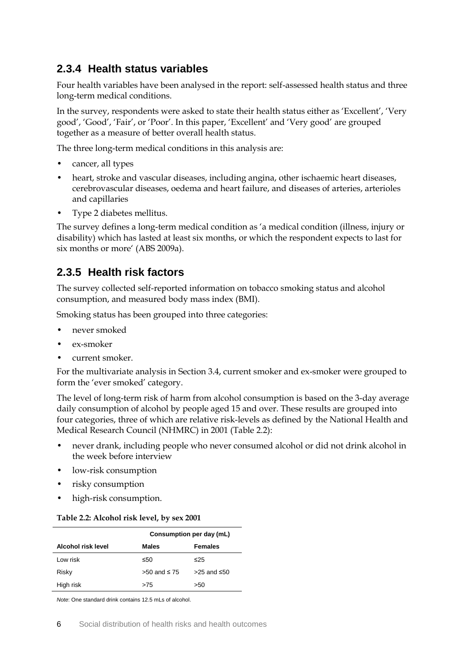### **2.3.4 Health status variables**

Four health variables have been analysed in the report: self-assessed health status and three long-term medical conditions.

In the survey, respondents were asked to state their health status either as 'Excellent', 'Very good', 'Good', 'Fair', or 'Poor'. In this paper, 'Excellent' and 'Very good' are grouped together as a measure of better overall health status.

The three long-term medical conditions in this analysis are:

- cancer, all types
- heart, stroke and vascular diseases, including angina, other ischaemic heart diseases, cerebrovascular diseases, oedema and heart failure, and diseases of arteries, arterioles and capillaries
- Type 2 diabetes mellitus.

The survey defines a long-term medical condition as 'a medical condition (illness, injury or disability) which has lasted at least six months, or which the respondent expects to last for six months or more' (ABS 2009a).

#### **2.3.5 Health risk factors**

The survey collected self-reported information on tobacco smoking status and alcohol consumption, and measured body mass index (BMI).

Smoking status has been grouped into three categories:

- never smoked
- ex-smoker
- current smoker.

For the multivariate analysis in Section 3.4, current smoker and ex-smoker were grouped to form the 'ever smoked' category.

The level of long-term risk of harm from alcohol consumption is based on the 3-day average daily consumption of alcohol by people aged 15 and over. These results are grouped into four categories, three of which are relative risk-levels as defined by the National Health and Medical Research Council (NHMRC) in 2001 (Table 2.2):

- never drank, including people who never consumed alcohol or did not drink alcohol in the week before interview
- low-risk consumption
- risky consumption
- high-risk consumption.

#### <span id="page-12-0"></span>**Table 2.2: Alcohol risk level, by sex 2001**

|                    | Consumption per day (mL) |                     |  |
|--------------------|--------------------------|---------------------|--|
| Alcohol risk level | <b>Males</b>             | <b>Females</b>      |  |
| Low risk           | ≤50                      | $\leq$ 25           |  |
| Risky              | $>50$ and $\leq 75$      | $>25$ and $\leq 50$ |  |
| High risk          | >75                      | >50                 |  |

*Note*: One standard drink contains 12.5 mLs of alcohol.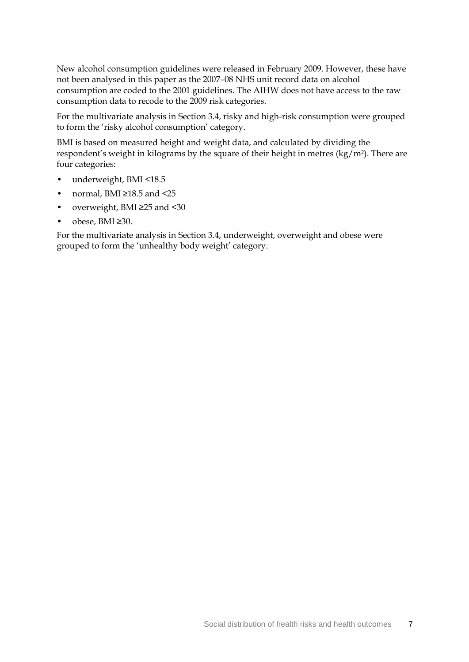New alcohol consumption guidelines were released in February 2009. However, these have not been analysed in this paper as the 2007–08 NHS unit record data on alcohol consumption are coded to the 2001 guidelines. The AIHW does not have access to the raw consumption data to recode to the 2009 risk categories.

For the multivariate analysis in Section 3.4, risky and high-risk consumption were grouped to form the 'risky alcohol consumption' category.

BMI is based on measured height and weight data, and calculated by dividing the respondent's weight in kilograms by the square of their height in metres (kg/m2). There are four categories:

- underweight, BMI <18.5
- normal, BMI ≥18.5 and <25
- overweight, BMI ≥25 and <30
- obese, BMI ≥30.

For the multivariate analysis in Section 3.4, underweight, overweight and obese were grouped to form the 'unhealthy body weight' category.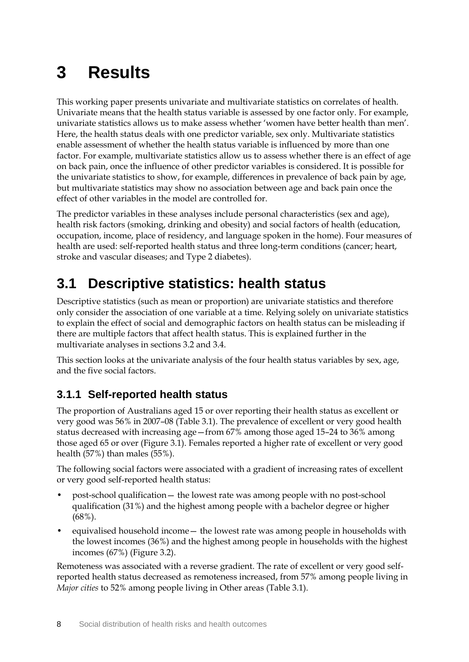# <span id="page-14-0"></span>**3 Results**

This working paper presents univariate and multivariate statistics on correlates of health. Univariate means that the health status variable is assessed by one factor only. For example, univariate statistics allows us to make assess whether 'women have better health than men'. Here, the health status deals with one predictor variable, sex only. Multivariate statistics enable assessment of whether the health status variable is influenced by more than one factor. For example, multivariate statistics allow us to assess whether there is an effect of age on back pain, once the influence of other predictor variables is considered. It is possible for the univariate statistics to show, for example, differences in prevalence of back pain by age, but multivariate statistics may show no association between age and back pain once the effect of other variables in the model are controlled for.

The predictor variables in these analyses include personal characteristics (sex and age), health risk factors (smoking, drinking and obesity) and social factors of health (education, occupation, income, place of residency, and language spoken in the home). Four measures of health are used: self-reported health status and three long-term conditions (cancer; heart, stroke and vascular diseases; and Type 2 diabetes).

## <span id="page-14-1"></span>**3.1 Descriptive statistics: health status**

Descriptive statistics (such as mean or proportion) are univariate statistics and therefore only consider the association of one variable at a time. Relying solely on univariate statistics to explain the effect of social and demographic factors on health status can be misleading if there are multiple factors that affect health status. This is explained further in the multivariate analyses in sections 3.2 and 3.4.

This section looks at the univariate analysis of the four health status variables by sex, age, and the five social factors.

### **3.1.1 Self-reported health status**

The proportion of Australians aged 15 or over reporting their health status as excellent or very good was 56% in 2007–08 (Table 3.1). The prevalence of excellent or very good health status decreased with increasing age—from 67% among those aged 15–24 to 36% among those aged 65 or over (Figure 3.1). Females reported a higher rate of excellent or very good health (57%) than males (55%).

The following social factors were associated with a gradient of increasing rates of excellent or very good self-reported health status:

- post-school qualification— the lowest rate was among people with no post-school qualification (31%) and the highest among people with a bachelor degree or higher (68%).
- equivalised household income— the lowest rate was among people in households with the lowest incomes (36%) and the highest among people in households with the highest incomes (67%) (Figure 3.2).

Remoteness was associated with a reverse gradient. The rate of excellent or very good selfreported health status decreased as remoteness increased, from 57% among people living in *Major cities* to 52% among people living in Other areas (Table 3.1).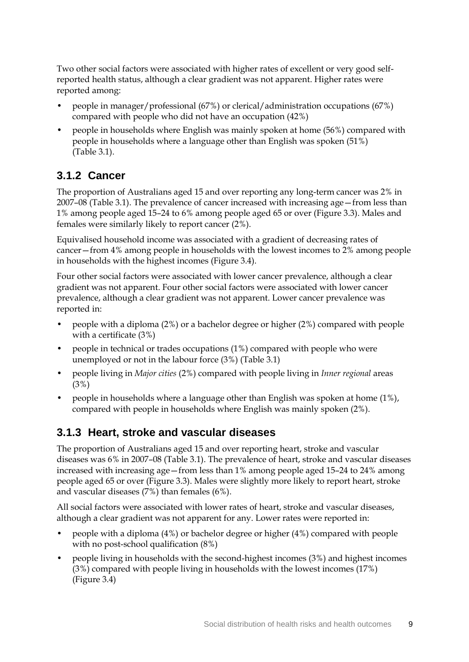Two other social factors were associated with higher rates of excellent or very good selfreported health status, although a clear gradient was not apparent. Higher rates were reported among:

- people in manager/professional (67%) or clerical/administration occupations (67%) compared with people who did not have an occupation (42%)
- people in households where English was mainly spoken at home (56%) compared with people in households where a language other than English was spoken (51%) (Table 3.1).

### **3.1.2 Cancer**

The proportion of Australians aged 15 and over reporting any long-term cancer was 2% in 2007–08 (Table 3.1). The prevalence of cancer increased with increasing age—from less than 1% among people aged 15–24 to 6% among people aged 65 or over (Figure 3.3). Males and females were similarly likely to report cancer (2%).

Equivalised household income was associated with a gradient of decreasing rates of cancer—from 4% among people in households with the lowest incomes to 2% among people in households with the highest incomes (Figure 3.4).

Four other social factors were associated with lower cancer prevalence, although a clear gradient was not apparent. Four other social factors were associated with lower cancer prevalence, although a clear gradient was not apparent. Lower cancer prevalence was reported in:

- people with a diploma (2%) or a bachelor degree or higher (2%) compared with people with a certificate (3%)
- people in technical or trades occupations (1%) compared with people who were unemployed or not in the labour force (3%) (Table 3.1)
- people living in *Major cities* (2%) compared with people living in *Inner regional* areas (3%)
- people in households where a language other than English was spoken at home  $(1\%)$ , compared with people in households where English was mainly spoken (2%).

### **3.1.3 Heart, stroke and vascular diseases**

The proportion of Australians aged 15 and over reporting heart, stroke and vascular diseases was 6% in 2007–08 (Table 3.1). The prevalence of heart, stroke and vascular diseases increased with increasing age—from less than 1% among people aged 15–24 to 24% among people aged 65 or over (Figure 3.3). Males were slightly more likely to report heart, stroke and vascular diseases (7%) than females (6%).

All social factors were associated with lower rates of heart, stroke and vascular diseases, although a clear gradient was not apparent for any. Lower rates were reported in:

- people with a diploma (4%) or bachelor degree or higher (4%) compared with people with no post-school qualification (8%)
- people living in households with the second-highest incomes (3%) and highest incomes (3%) compared with people living in households with the lowest incomes (17%) (Figure 3.4)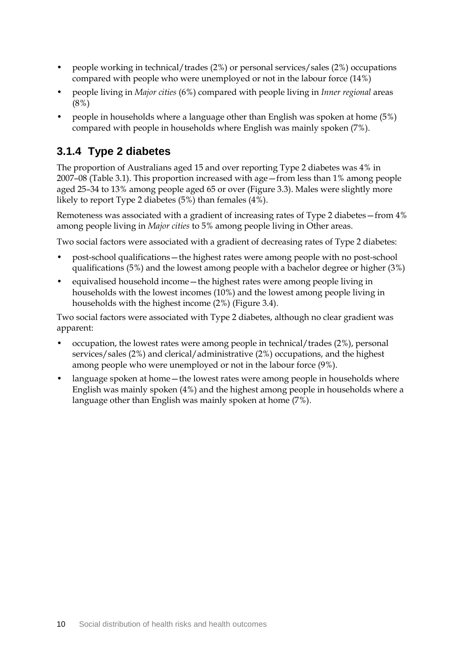- people working in technical/trades  $(2%)$  or personal services/sales  $(2%)$  occupations compared with people who were unemployed or not in the labour force (14%)
- people living in *Major cities* (6%) compared with people living in *Inner regional* areas (8%)
- people in households where a language other than English was spoken at home (5%) compared with people in households where English was mainly spoken (7%).

### **3.1.4 Type 2 diabetes**

The proportion of Australians aged 15 and over reporting Type 2 diabetes was 4% in 2007–08 (Table 3.1). This proportion increased with age—from less than 1% among people aged 25–34 to 13% among people aged 65 or over (Figure 3.3). Males were slightly more likely to report Type 2 diabetes (5%) than females (4%).

Remoteness was associated with a gradient of increasing rates of Type 2 diabetes—from 4% among people living in *Major cities* to 5% among people living in Other areas.

Two social factors were associated with a gradient of decreasing rates of Type 2 diabetes:

- post-school qualifications—the highest rates were among people with no post-school qualifications (5%) and the lowest among people with a bachelor degree or higher (3%)
- equivalised household income—the highest rates were among people living in households with the lowest incomes (10%) and the lowest among people living in households with the highest income (2%) (Figure 3.4).

Two social factors were associated with Type 2 diabetes, although no clear gradient was apparent:

- occupation, the lowest rates were among people in technical/trades (2%), personal services/sales (2%) and clerical/administrative (2%) occupations, and the highest among people who were unemployed or not in the labour force (9%).
- language spoken at home—the lowest rates were among people in households where English was mainly spoken (4%) and the highest among people in households where a language other than English was mainly spoken at home (7%).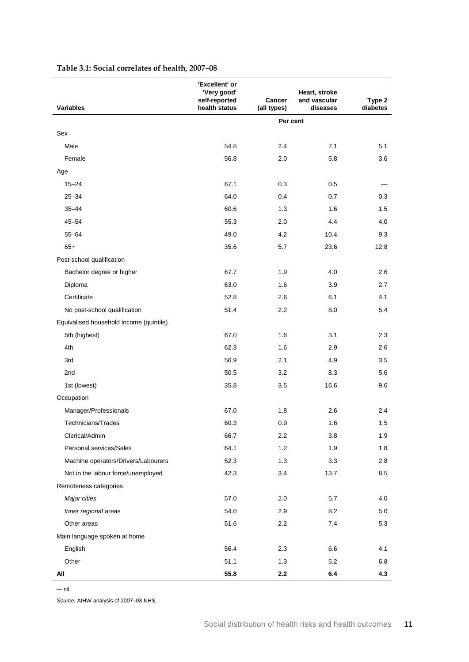|                                         | 'Excellent' or<br>'Very good'<br>self-reported | <b>Cancer</b>    | Heart, stroke<br>and vascular | Type 2   |
|-----------------------------------------|------------------------------------------------|------------------|-------------------------------|----------|
| <b>Variables</b>                        | health status                                  | (all types)      | diseases                      | diabetes |
|                                         |                                                | Per cent         |                               |          |
| Sex                                     |                                                |                  |                               |          |
| Male                                    | 54.8                                           | 2.4              | 7.1                           | 5.1      |
| Female                                  | 56.8                                           | 2.0              | 5.8                           | 3.6      |
| Age                                     |                                                |                  |                               |          |
| $15 - 24$                               | 67.1                                           | 0.3              | 0.5                           |          |
| $25 - 34$                               | 64.0                                           | 0.4              | 0.7                           | 0.3      |
| $35 - 44$                               | 60.6                                           | 1.3              | 1.6                           | 1.5      |
| $45 - 54$                               | 55.3                                           | 2.0              | 4.4                           | 4.0      |
| $55 - 64$                               | 49.0                                           | 4.2              | 10.4                          | 9.3      |
| $65+$                                   | 35.6                                           | 5.7              | 23.6                          | 12.8     |
| Post-school qualification               |                                                |                  |                               |          |
| Bachelor degree or higher               | 67.7                                           | 1.9              | 4.0                           | 2.6      |
| Diploma                                 | 63.0                                           | 1.6              | 3.9                           | 2.7      |
| Certificate                             | 52.8                                           | 2.6              | 6.1                           | 4.1      |
| No post-school qualification            | 51.4                                           | $2.2\phantom{0}$ | 8.0                           | 5.4      |
| Equivalised household income (quintile) |                                                |                  |                               |          |
| 5th (highest)                           | 67.0                                           | 1.6              | 3.1                           | 2.3      |
| 4th                                     | 62.3                                           | 1.6              | 2.9                           | 2.6      |
| 3rd                                     | 56.9                                           | 2.1              | 4.9                           | 3.5      |
| 2 <sub>nd</sub>                         | 50.5                                           | 3.2              | 8.3                           | 5.6      |
| 1st (lowest)                            | 35.8                                           | 3.5              | 16.6                          | 9.6      |
| Occupation                              |                                                |                  |                               |          |
| Manager/Professionals                   | 67.0                                           | 1.8              | 2.6                           | 2.4      |
| Technicians/Trades                      | 60.3                                           | 0.9              | 1.6                           | 1.5      |
| Clerical/Admin                          | 66.7                                           | 2.2              | 3.8                           | 1.9      |
| Personal services/Sales                 | 64.1                                           | 1.2              | 1.9                           | 1.8      |
| Machine operators/Drivers/Labourers     | 52.3                                           | 1.3              | 3.3                           | 2.8      |
| Not in the labour force/unemployed      | 42.3                                           | 3.4              | 13.7                          | 8.5      |
| Remoteness categories                   |                                                |                  |                               |          |
| Major cities                            | 57.0                                           | 2.0              | 5.7                           | 4.0      |
| Inner regional areas                    | 54.0                                           | 2.9              | 8.2                           | 5.0      |
| Other areas                             | 51.6                                           | 2.2              | 7.4                           | 5.3      |
| Main language spoken at home            |                                                |                  |                               |          |
| English                                 | 56.4                                           | 2.3              | 6.6                           | 4.1      |
| Other                                   | 51.1                                           | 1.3              | 5.2                           | 6.8      |
| All                                     | 55.8                                           | 2.2              | 6.4                           | 4.3      |

#### <span id="page-17-0"></span>**Table 3.1: Social correlates of health, 2007–08**

— nil

*Source:* AIHW analysis of 2007–08 NHS.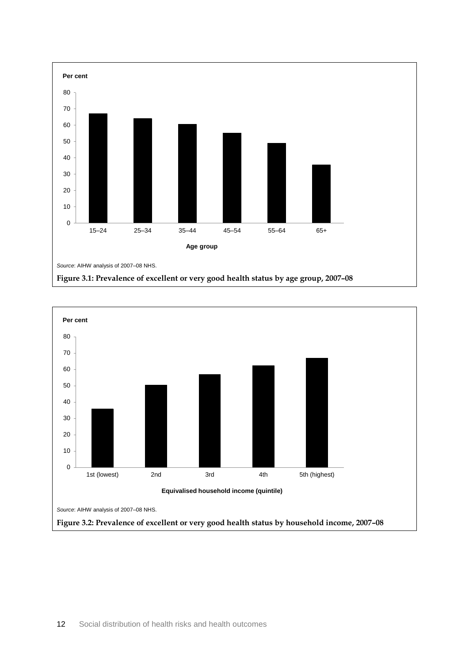

<span id="page-18-1"></span><span id="page-18-0"></span>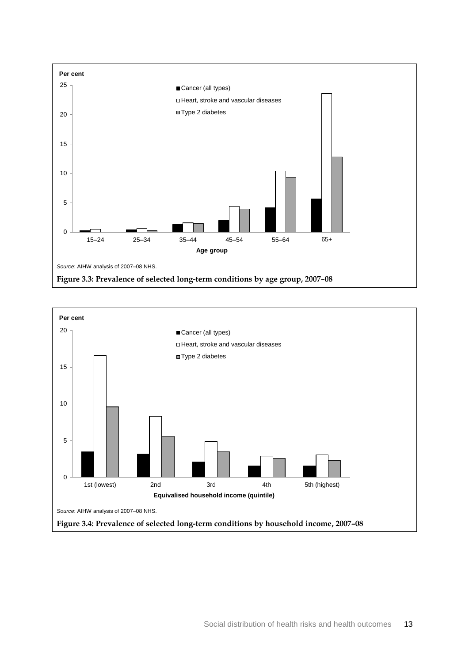

<span id="page-19-1"></span><span id="page-19-0"></span>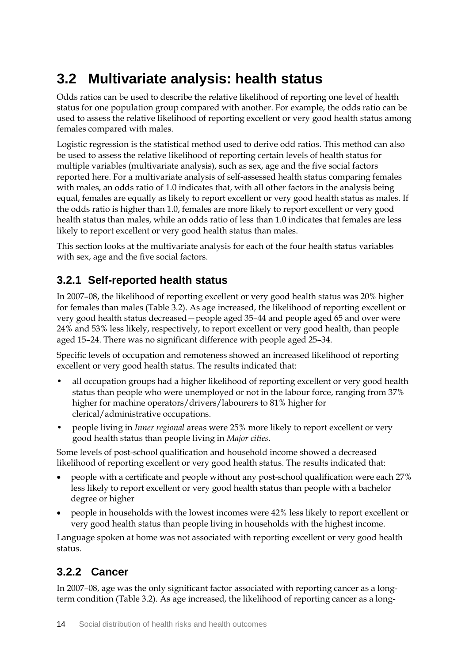## <span id="page-20-0"></span>**3.2 Multivariate analysis: health status**

Odds ratios can be used to describe the relative likelihood of reporting one level of health status for one population group compared with another. For example, the odds ratio can be used to assess the relative likelihood of reporting excellent or very good health status among females compared with males.

Logistic regression is the statistical method used to derive odd ratios. This method can also be used to assess the relative likelihood of reporting certain levels of health status for multiple variables (multivariate analysis), such as sex, age and the five social factors reported here. For a multivariate analysis of self-assessed health status comparing females with males, an odds ratio of 1.0 indicates that, with all other factors in the analysis being equal, females are equally as likely to report excellent or very good health status as males. If the odds ratio is higher than 1.0, females are more likely to report excellent or very good health status than males, while an odds ratio of less than 1.0 indicates that females are less likely to report excellent or very good health status than males.

This section looks at the multivariate analysis for each of the four health status variables with sex, age and the five social factors.

### **3.2.1 Self-reported health status**

In 2007–08, the likelihood of reporting excellent or very good health status was 20% higher for females than males (Table 3.2). As age increased, the likelihood of reporting excellent or very good health status decreased—people aged 35–44 and people aged 65 and over were 24% and 53% less likely, respectively, to report excellent or very good health, than people aged 15–24. There was no significant difference with people aged 25–34.

Specific levels of occupation and remoteness showed an increased likelihood of reporting excellent or very good health status. The results indicated that:

- all occupation groups had a higher likelihood of reporting excellent or very good health status than people who were unemployed or not in the labour force, ranging from 37% higher for machine operators/drivers/labourers to 81% higher for clerical/administrative occupations.
- people living in *Inner regional* areas were 25% more likely to report excellent or very good health status than people living in *Major cities*.

Some levels of post-school qualification and household income showed a decreased likelihood of reporting excellent or very good health status. The results indicated that:

- people with a certificate and people without any post-school qualification were each 27% less likely to report excellent or very good health status than people with a bachelor degree or higher
- people in households with the lowest incomes were 42% less likely to report excellent or very good health status than people living in households with the highest income.

Language spoken at home was not associated with reporting excellent or very good health status.

### **3.2.2 Cancer**

In 2007–08, age was the only significant factor associated with reporting cancer as a longterm condition (Table 3.2). As age increased, the likelihood of reporting cancer as a long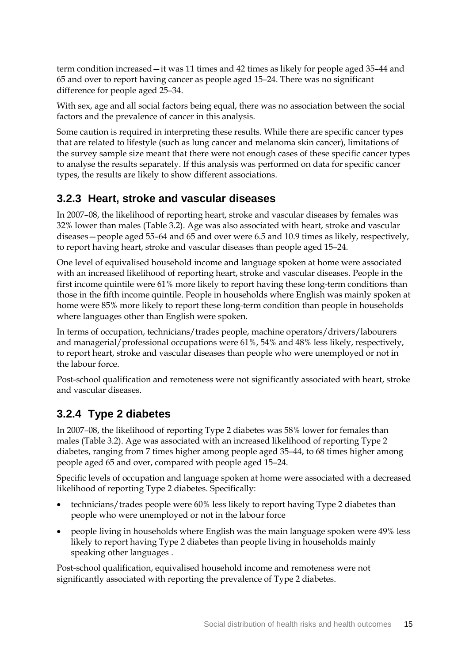term condition increased—it was 11 times and 42 times as likely for people aged 35–44 and 65 and over to report having cancer as people aged 15–24. There was no significant difference for people aged 25–34.

With sex, age and all social factors being equal, there was no association between the social factors and the prevalence of cancer in this analysis.

Some caution is required in interpreting these results. While there are specific cancer types that are related to lifestyle (such as lung cancer and melanoma skin cancer), limitations of the survey sample size meant that there were not enough cases of these specific cancer types to analyse the results separately. If this analysis was performed on data for specific cancer types, the results are likely to show different associations.

### **3.2.3 Heart, stroke and vascular diseases**

In 2007–08, the likelihood of reporting heart, stroke and vascular diseases by females was 32% lower than males (Table 3.2). Age was also associated with heart, stroke and vascular diseases—people aged 55–64 and 65 and over were 6.5 and 10.9 times as likely, respectively, to report having heart, stroke and vascular diseases than people aged 15–24.

One level of equivalised household income and language spoken at home were associated with an increased likelihood of reporting heart, stroke and vascular diseases. People in the first income quintile were 61% more likely to report having these long-term conditions than those in the fifth income quintile. People in households where English was mainly spoken at home were 85% more likely to report these long-term condition than people in households where languages other than English were spoken.

In terms of occupation, technicians/trades people, machine operators/drivers/labourers and managerial/professional occupations were 61%, 54% and 48% less likely, respectively, to report heart, stroke and vascular diseases than people who were unemployed or not in the labour force.

Post-school qualification and remoteness were not significantly associated with heart, stroke and vascular diseases.

### **3.2.4 Type 2 diabetes**

In 2007–08, the likelihood of reporting Type 2 diabetes was 58% lower for females than males (Table 3.2). Age was associated with an increased likelihood of reporting Type 2 diabetes, ranging from 7 times higher among people aged 35–44, to 68 times higher among people aged 65 and over, compared with people aged 15–24.

Specific levels of occupation and language spoken at home were associated with a decreased likelihood of reporting Type 2 diabetes. Specifically:

- technicians/trades people were 60% less likely to report having Type 2 diabetes than people who were unemployed or not in the labour force
- people living in households where English was the main language spoken were 49% less likely to report having Type 2 diabetes than people living in households mainly speaking other languages .

Post-school qualification, equivalised household income and remoteness were not significantly associated with reporting the prevalence of Type 2 diabetes.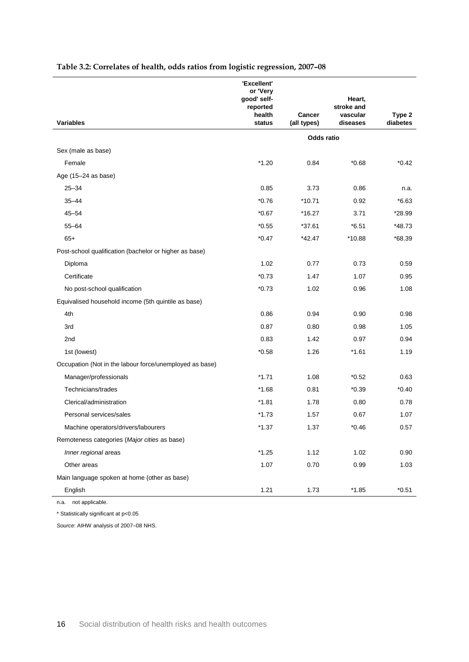| <b>Variables</b>                                           | 'Excellent'<br>or 'Very<br>good' self-<br>reported<br>health<br>status | <b>Cancer</b><br>(all types) | Heart,<br>stroke and<br>vascular<br>diseases | Type 2<br>diabetes |
|------------------------------------------------------------|------------------------------------------------------------------------|------------------------------|----------------------------------------------|--------------------|
|                                                            |                                                                        | <b>Odds ratio</b>            |                                              |                    |
| Sex (male as base)                                         |                                                                        |                              |                                              |                    |
| Female                                                     | $*1.20$                                                                | 0.84                         | $*0.68$                                      | $*0.42$            |
| Age (15-24 as base)                                        |                                                                        |                              |                                              |                    |
| $25 - 34$                                                  | 0.85                                                                   | 3.73                         | 0.86                                         | n.a.               |
| $35 - 44$                                                  | $*0.76$                                                                | *10.71                       | 0.92                                         | $*6.63$            |
| $45 - 54$                                                  | $*0.67$                                                                | *16.27                       | 3.71                                         | *28.99             |
| $55 - 64$                                                  | $*0.55$                                                                | *37.61                       | $*6.51$                                      | $*48.73$           |
| $65+$                                                      | $*0.47$                                                                | $*42.47$                     | $*10.88$                                     | *68.39             |
| Post-school qualification (bachelor or higher as base)     |                                                                        |                              |                                              |                    |
| Diploma                                                    | 1.02                                                                   | 0.77                         | 0.73                                         | 0.59               |
| Certificate                                                | $*0.73$                                                                | 1.47                         | 1.07                                         | 0.95               |
| No post-school qualification                               | $*0.73$                                                                | 1.02                         | 0.96                                         | 1.08               |
|                                                            |                                                                        |                              |                                              |                    |
| Equivalised household income (5th quintile as base)<br>4th | 0.86                                                                   | 0.94                         | 0.90                                         | 0.98               |
|                                                            |                                                                        |                              |                                              |                    |
| 3rd                                                        | 0.87                                                                   | 0.80                         | 0.98                                         | 1.05               |
| 2nd                                                        | 0.83                                                                   | 1.42                         | 0.97                                         | 0.94               |
| 1st (lowest)                                               | $*0.58$                                                                | 1.26                         | $*1.61$                                      | 1.19               |
| Occupation (Not in the labour force/unemployed as base)    |                                                                        |                              |                                              |                    |
| Manager/professionals                                      | $*1.71$                                                                | 1.08                         | $*0.52$                                      | 0.63               |
| Technicians/trades                                         | $*1.68$                                                                | 0.81                         | $*0.39$                                      | $*0.40$            |
| Clerical/administration                                    | $*1.81$                                                                | 1.78                         | 0.80                                         | 0.78               |
| Personal services/sales                                    | $*1.73$                                                                | 1.57                         | 0.67                                         | 1.07               |
| Machine operators/drivers/labourers                        | $*1.37$                                                                | 1.37                         | $*0.46$                                      | 0.57               |
| Remoteness categories (Major cities as base)               |                                                                        |                              |                                              |                    |
| Inner regional areas                                       | $*1.25$                                                                | 1.12                         | 1.02                                         | 0.90               |
| Other areas                                                | 1.07                                                                   | 0.70                         | 0.99                                         | 1.03               |
| Main language spoken at home (other as base)               |                                                                        |                              |                                              |                    |
| English                                                    | 1.21                                                                   | 1.73                         | $*1.85$                                      | $*0.51$            |

#### <span id="page-22-0"></span>**Table 3.2: Correlates of health, odds ratios from logistic regression, 2007–08**

n.a. not applicable.

\* Statistically significant at p<0.05

*Source*: AIHW analysis of 2007–08 NHS.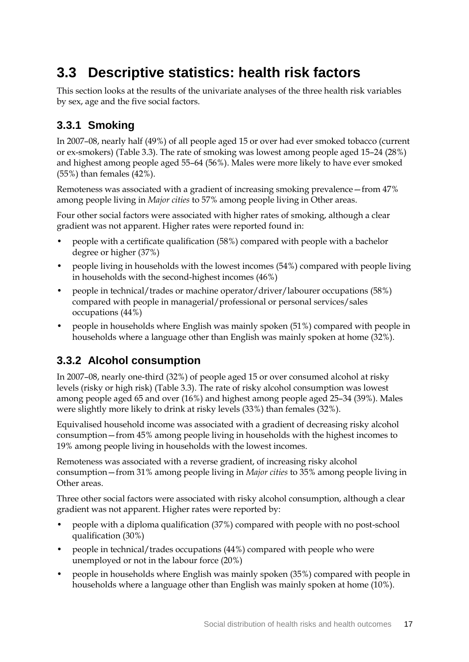## <span id="page-23-0"></span>**3.3 Descriptive statistics: health risk factors**

This section looks at the results of the univariate analyses of the three health risk variables by sex, age and the five social factors.

## **3.3.1 Smoking**

In 2007–08, nearly half (49%) of all people aged 15 or over had ever smoked tobacco (current or ex-smokers) (Table 3.3). The rate of smoking was lowest among people aged 15–24 (28%) and highest among people aged 55–64 (56%). Males were more likely to have ever smoked (55%) than females (42%).

Remoteness was associated with a gradient of increasing smoking prevalence—from 47% among people living in *Major cities* to 57% among people living in Other areas.

Four other social factors were associated with higher rates of smoking, although a clear gradient was not apparent. Higher rates were reported found in:

- people with a certificate qualification (58%) compared with people with a bachelor degree or higher (37%)
- people living in households with the lowest incomes (54%) compared with people living in households with the second-highest incomes (46%)
- people in technical/trades or machine operator/driver/labourer occupations (58%) compared with people in managerial/professional or personal services/sales occupations (44%)
- people in households where English was mainly spoken (51%) compared with people in households where a language other than English was mainly spoken at home (32%).

### **3.3.2 Alcohol consumption**

In 2007–08, nearly one-third (32%) of people aged 15 or over consumed alcohol at risky levels (risky or high risk) (Table 3.3). The rate of risky alcohol consumption was lowest among people aged 65 and over (16%) and highest among people aged 25–34 (39%). Males were slightly more likely to drink at risky levels (33%) than females (32%).

Equivalised household income was associated with a gradient of decreasing risky alcohol consumption—from 45% among people living in households with the highest incomes to 19% among people living in households with the lowest incomes.

Remoteness was associated with a reverse gradient, of increasing risky alcohol consumption—from 31% among people living in *Major cities* to 35% among people living in Other areas.

Three other social factors were associated with risky alcohol consumption, although a clear gradient was not apparent. Higher rates were reported by:

- people with a diploma qualification (37%) compared with people with no post-school qualification (30%)
- people in technical/trades occupations (44%) compared with people who were unemployed or not in the labour force (20%)
- people in households where English was mainly spoken (35%) compared with people in households where a language other than English was mainly spoken at home (10%).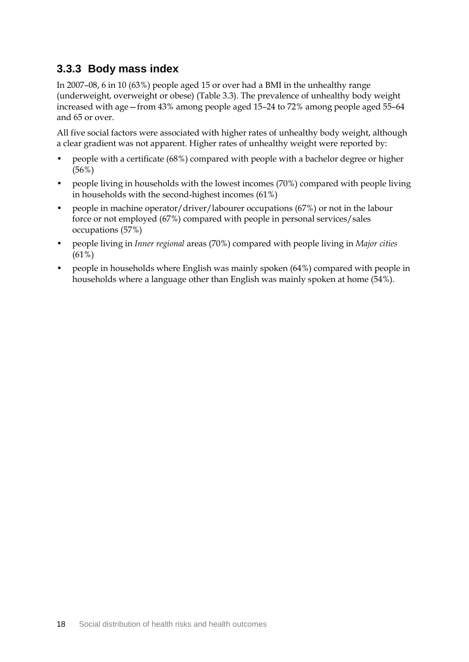### **3.3.3 Body mass index**

In 2007–08, 6 in 10 (63%) people aged 15 or over had a BMI in the unhealthy range (underweight, overweight or obese) (Table 3.3). The prevalence of unhealthy body weight increased with age—from 43% among people aged 15–24 to 72% among people aged 55–64 and 65 or over.

All five social factors were associated with higher rates of unhealthy body weight, although a clear gradient was not apparent. Higher rates of unhealthy weight were reported by:

- people with a certificate (68%) compared with people with a bachelor degree or higher (56%)
- people living in households with the lowest incomes (70%) compared with people living in households with the second-highest incomes (61%)
- people in machine operator/driver/labourer occupations (67%) or not in the labour force or not employed (67%) compared with people in personal services/sales occupations (57%)
- people living in *Inner regional* areas (70%) compared with people living in *Major cities* (61%)
- people in households where English was mainly spoken (64%) compared with people in households where a language other than English was mainly spoken at home (54%).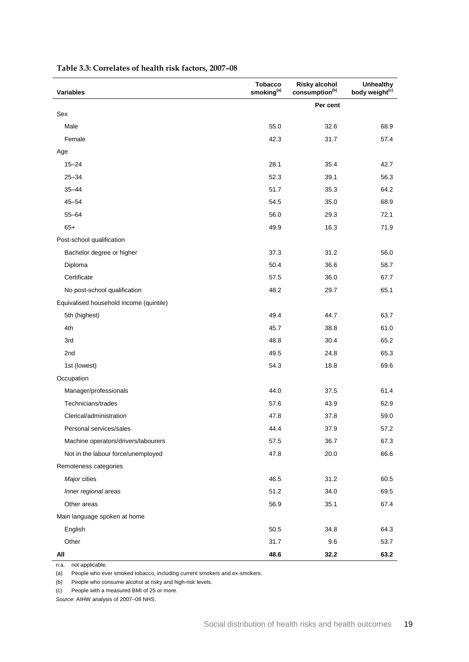| <b>Variables</b>                        | <b>Tobacco</b><br>smoking <sup>(a)</sup> | <b>Risky alcohol</b><br>consumption <sup>(b)</sup> | <b>Unhealthy</b><br>body weight <sup>(c)</sup> |
|-----------------------------------------|------------------------------------------|----------------------------------------------------|------------------------------------------------|
| Sex                                     |                                          | Per cent                                           |                                                |
| Male                                    | 55.0                                     | 32.6                                               | 68.9                                           |
| Female                                  | 42.3                                     | 31.7                                               | 57.4                                           |
| Age                                     |                                          |                                                    |                                                |
| $15 - 24$                               | 28.1                                     | 35.4                                               | 42.7                                           |
| $25 - 34$                               | 52.3                                     | 39.1                                               | 56.3                                           |
| $35 - 44$                               | 51.7                                     | 35.3                                               | 64.2                                           |
| $45 - 54$                               | 54.5                                     | 35.0                                               | 68.9                                           |
| $55 - 64$                               | 56.0                                     | 29.3                                               | 72.1                                           |
| $65+$                                   | 49.9                                     | 16.3                                               | 71.9                                           |
| Post-school qualification               |                                          |                                                    |                                                |
| Bachelor degree or higher               | 37.3                                     | 31.2                                               | 56.0                                           |
| Diploma                                 | 50.4                                     | 36.6                                               | 58.7                                           |
| Certificate                             | 57.5                                     | 36.0                                               | 67.7                                           |
| No post-school qualification            | 48.2                                     | 29.7                                               | 65.1                                           |
| Equivalised household income (quintile) |                                          |                                                    |                                                |
| 5th (highest)                           | 49.4                                     | 44.7                                               | 63.7                                           |
| 4th                                     | 45.7                                     | 38.8                                               | 61.0                                           |
| 3rd                                     | 48.8                                     | 30.4                                               | 65.2                                           |
| 2nd                                     | 49.5                                     | 24.8                                               | 65.3                                           |
| 1st (lowest)                            | 54.3                                     | 18.8                                               | 69.6                                           |
| Occupation                              |                                          |                                                    |                                                |
| Manager/professionals                   | 44.0                                     | 37.5                                               | 61.4                                           |
| Technicians/trades                      | 57.6                                     | 43.9                                               | 62.9                                           |
| Clerical/administration                 | 47.8                                     | 37.8                                               | 59.0                                           |
| Personal services/sales                 | 44.4                                     | 37.9                                               | 57.2                                           |
| Machine operators/drivers/labourers     | 57.5                                     | 36.7                                               | 67.3                                           |
| Not in the labour force/unemployed      | 47.8                                     | 20.0                                               | 66.6                                           |
| Remoteness categories                   |                                          |                                                    |                                                |
| Major cities                            | 46.5                                     | 31.2                                               | 60.5                                           |
| Inner regional areas                    | 51.2                                     | 34.0                                               | 69.5                                           |
| Other areas                             | 56.9                                     | 35.1                                               | 67.4                                           |
| Main language spoken at home            |                                          |                                                    |                                                |
| English                                 | 50.5                                     | 34.8                                               | 64.3                                           |
| Other                                   | 31.7                                     | 9.6                                                | 53.7                                           |
| All                                     | 48.6                                     | 32.2                                               | 63.2                                           |

#### <span id="page-25-0"></span>**Table 3.3: Correlates of health risk factors, 2007–08**

n.a. not applicable.

(a) People who ever smoked tobacco, including current smokers and ex-smokers.

(b) People who consume alcohol at risky and high-risk levels.

(c) People with a measured BMI of 25 or more.

*Source*: AIHW analysis of 2007–08 NHS.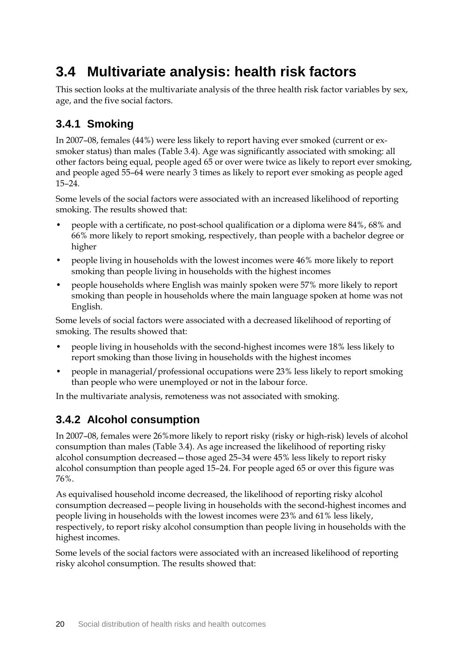## <span id="page-26-0"></span>**3.4 Multivariate analysis: health risk factors**

This section looks at the multivariate analysis of the three health risk factor variables by sex, age, and the five social factors.

### **3.4.1 Smoking**

In 2007–08, females (44%) were less likely to report having ever smoked (current or exsmoker status) than males (Table 3.4). Age was significantly associated with smoking: all other factors being equal, people aged 65 or over were twice as likely to report ever smoking, and people aged 55–64 were nearly 3 times as likely to report ever smoking as people aged 15–24.

Some levels of the social factors were associated with an increased likelihood of reporting smoking. The results showed that:

- people with a certificate, no post-school qualification or a diploma were 84%, 68% and 66% more likely to report smoking, respectively, than people with a bachelor degree or higher
- people living in households with the lowest incomes were 46% more likely to report smoking than people living in households with the highest incomes
- people households where English was mainly spoken were 57% more likely to report smoking than people in households where the main language spoken at home was not English.

Some levels of social factors were associated with a decreased likelihood of reporting of smoking. The results showed that:

- people living in households with the second-highest incomes were 18% less likely to report smoking than those living in households with the highest incomes
- people in managerial/professional occupations were 23% less likely to report smoking than people who were unemployed or not in the labour force.

In the multivariate analysis, remoteness was not associated with smoking.

### **3.4.2 Alcohol consumption**

In 2007–08, females were 26%more likely to report risky (risky or high-risk) levels of alcohol consumption than males (Table 3.4). As age increased the likelihood of reporting risky alcohol consumption decreased—those aged 25–34 were 45% less likely to report risky alcohol consumption than people aged 15–24. For people aged 65 or over this figure was 76%.

As equivalised household income decreased, the likelihood of reporting risky alcohol consumption decreased—people living in households with the second-highest incomes and people living in households with the lowest incomes were 23% and 61% less likely, respectively, to report risky alcohol consumption than people living in households with the highest incomes.

Some levels of the social factors were associated with an increased likelihood of reporting risky alcohol consumption. The results showed that: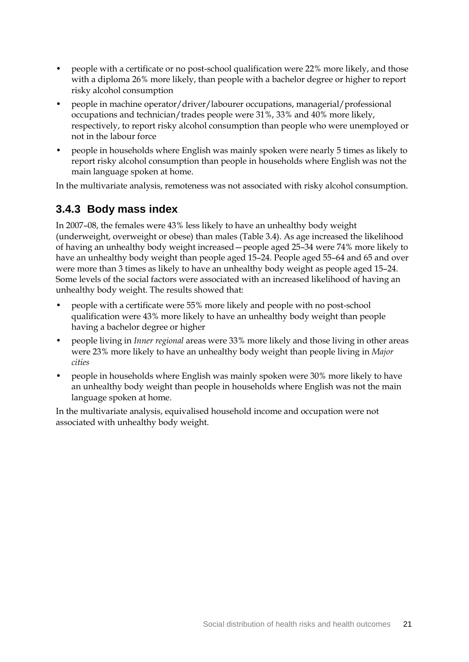- people with a certificate or no post-school qualification were 22% more likely, and those with a diploma 26% more likely, than people with a bachelor degree or higher to report risky alcohol consumption
- people in machine operator/driver/labourer occupations, managerial/professional occupations and technician/trades people were 31%, 33% and 40% more likely, respectively, to report risky alcohol consumption than people who were unemployed or not in the labour force
- people in households where English was mainly spoken were nearly 5 times as likely to report risky alcohol consumption than people in households where English was not the main language spoken at home.

In the multivariate analysis, remoteness was not associated with risky alcohol consumption.

#### **3.4.3 Body mass index**

In 2007–08, the females were 43% less likely to have an unhealthy body weight (underweight, overweight or obese) than males (Table 3.4). As age increased the likelihood of having an unhealthy body weight increased—people aged 25–34 were 74% more likely to have an unhealthy body weight than people aged 15–24. People aged 55–64 and 65 and over were more than 3 times as likely to have an unhealthy body weight as people aged 15–24. Some levels of the social factors were associated with an increased likelihood of having an unhealthy body weight. The results showed that:

- people with a certificate were 55% more likely and people with no post-school qualification were 43% more likely to have an unhealthy body weight than people having a bachelor degree or higher
- people living in *Inner regional* areas were 33% more likely and those living in other areas were 23% more likely to have an unhealthy body weight than people living in *Major cities*
- people in households where English was mainly spoken were 30% more likely to have an unhealthy body weight than people in households where English was not the main language spoken at home.

In the multivariate analysis, equivalised household income and occupation were not associated with unhealthy body weight.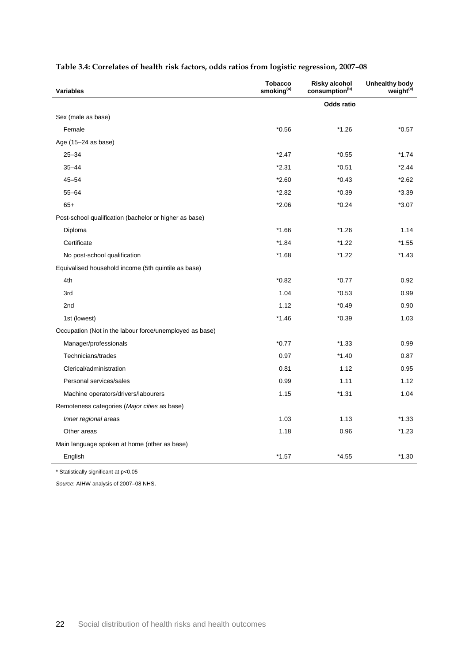| <b>Variables</b>                                        | <b>Tobacco</b><br>smoking <sup>(a)</sup> | <b>Risky alcohol</b><br>consumption <sup>(b)</sup> | Unhealthy body<br>weight <sup>(c)</sup> |
|---------------------------------------------------------|------------------------------------------|----------------------------------------------------|-----------------------------------------|
|                                                         |                                          | <b>Odds ratio</b>                                  |                                         |
| Sex (male as base)                                      |                                          |                                                    |                                         |
| Female                                                  | $*0.56$                                  | $*1.26$                                            | $*0.57$                                 |
| Age (15-24 as base)                                     |                                          |                                                    |                                         |
| $25 - 34$                                               | $*2.47$                                  | $*0.55$                                            | $*1.74$                                 |
| $35 - 44$                                               | $*2.31$                                  | $*0.51$                                            | $*2.44$                                 |
| $45 - 54$                                               | $*2.60$                                  | $*0.43$                                            | $*2.62$                                 |
| $55 - 64$                                               | $*2.82$                                  | $*0.39$                                            | $*3.39$                                 |
| $65+$                                                   | $*2.06$                                  | $*0.24$                                            | $*3.07$                                 |
| Post-school qualification (bachelor or higher as base)  |                                          |                                                    |                                         |
| Diploma                                                 | $*1.66$                                  | $*1.26$                                            | 1.14                                    |
| Certificate                                             | $*1.84$                                  | $*1.22$                                            | $*1.55$                                 |
| No post-school qualification                            | $*1.68$                                  | $*1.22$                                            | $*1.43$                                 |
| Equivalised household income (5th quintile as base)     |                                          |                                                    |                                         |
| 4th                                                     | $*0.82$                                  | $*0.77$                                            | 0.92                                    |
| 3rd                                                     | 1.04                                     | $*0.53$                                            | 0.99                                    |
| 2nd                                                     | 1.12                                     | $*0.49$                                            | 0.90                                    |
| 1st (lowest)                                            | $*1.46$                                  | $*0.39$                                            | 1.03                                    |
| Occupation (Not in the labour force/unemployed as base) |                                          |                                                    |                                         |
| Manager/professionals                                   | $*0.77$                                  | $*1.33$                                            | 0.99                                    |
| Technicians/trades                                      | 0.97                                     | $*1.40$                                            | 0.87                                    |
| Clerical/administration                                 | 0.81                                     | 1.12                                               | 0.95                                    |
| Personal services/sales                                 | 0.99                                     | 1.11                                               | 1.12                                    |
| Machine operators/drivers/labourers                     | 1.15                                     | $*1.31$                                            | 1.04                                    |
| Remoteness categories (Major cities as base)            |                                          |                                                    |                                         |
| Inner regional areas                                    | 1.03                                     | 1.13                                               | $*1.33$                                 |
| Other areas                                             | 1.18                                     | 0.96                                               | $*1.23$                                 |
| Main language spoken at home (other as base)            |                                          |                                                    |                                         |
| English                                                 | $*1.57$                                  | *4.55                                              | $*1.30$                                 |

#### <span id="page-28-0"></span>**Table 3.4: Correlates of health risk factors, odds ratios from logistic regression, 2007–08**

\* Statistically significant at p<0.05

*Source*: AIHW analysis of 2007–08 NHS.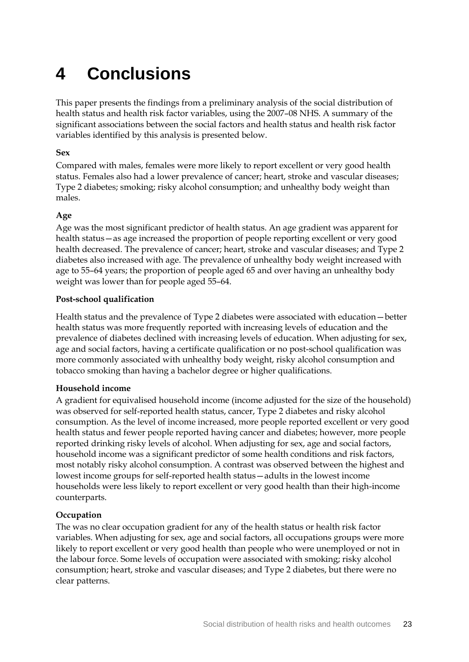# <span id="page-29-0"></span>**4 Conclusions**

This paper presents the findings from a preliminary analysis of the social distribution of health status and health risk factor variables, using the 2007–08 NHS. A summary of the significant associations between the social factors and health status and health risk factor variables identified by this analysis is presented below.

#### **Sex**

Compared with males, females were more likely to report excellent or very good health status. Females also had a lower prevalence of cancer; heart, stroke and vascular diseases; Type 2 diabetes; smoking; risky alcohol consumption; and unhealthy body weight than males.

#### **Age**

Age was the most significant predictor of health status. An age gradient was apparent for health status—as age increased the proportion of people reporting excellent or very good health decreased. The prevalence of cancer; heart, stroke and vascular diseases; and Type 2 diabetes also increased with age. The prevalence of unhealthy body weight increased with age to 55–64 years; the proportion of people aged 65 and over having an unhealthy body weight was lower than for people aged 55–64.

#### **Post-school qualification**

Health status and the prevalence of Type 2 diabetes were associated with education—better health status was more frequently reported with increasing levels of education and the prevalence of diabetes declined with increasing levels of education. When adjusting for sex, age and social factors, having a certificate qualification or no post-school qualification was more commonly associated with unhealthy body weight, risky alcohol consumption and tobacco smoking than having a bachelor degree or higher qualifications.

#### **Household income**

A gradient for equivalised household income (income adjusted for the size of the household) was observed for self-reported health status, cancer, Type 2 diabetes and risky alcohol consumption. As the level of income increased, more people reported excellent or very good health status and fewer people reported having cancer and diabetes; however, more people reported drinking risky levels of alcohol. When adjusting for sex, age and social factors, household income was a significant predictor of some health conditions and risk factors, most notably risky alcohol consumption. A contrast was observed between the highest and lowest income groups for self-reported health status—adults in the lowest income households were less likely to report excellent or very good health than their high-income counterparts.

#### **Occupation**

The was no clear occupation gradient for any of the health status or health risk factor variables. When adjusting for sex, age and social factors, all occupations groups were more likely to report excellent or very good health than people who were unemployed or not in the labour force. Some levels of occupation were associated with smoking; risky alcohol consumption; heart, stroke and vascular diseases; and Type 2 diabetes, but there were no clear patterns.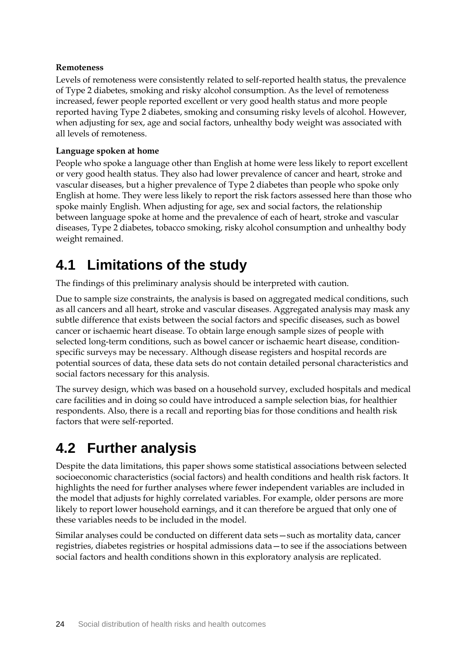#### **Remoteness**

Levels of remoteness were consistently related to self-reported health status, the prevalence of Type 2 diabetes, smoking and risky alcohol consumption. As the level of remoteness increased, fewer people reported excellent or very good health status and more people reported having Type 2 diabetes, smoking and consuming risky levels of alcohol. However, when adjusting for sex, age and social factors, unhealthy body weight was associated with all levels of remoteness.

#### **Language spoken at home**

People who spoke a language other than English at home were less likely to report excellent or very good health status. They also had lower prevalence of cancer and heart, stroke and vascular diseases, but a higher prevalence of Type 2 diabetes than people who spoke only English at home. They were less likely to report the risk factors assessed here than those who spoke mainly English. When adjusting for age, sex and social factors, the relationship between language spoke at home and the prevalence of each of heart, stroke and vascular diseases, Type 2 diabetes, tobacco smoking, risky alcohol consumption and unhealthy body weight remained.

## <span id="page-30-0"></span>**4.1 Limitations of the study**

The findings of this preliminary analysis should be interpreted with caution.

Due to sample size constraints, the analysis is based on aggregated medical conditions, such as all cancers and all heart, stroke and vascular diseases. Aggregated analysis may mask any subtle difference that exists between the social factors and specific diseases, such as bowel cancer or ischaemic heart disease. To obtain large enough sample sizes of people with selected long-term conditions, such as bowel cancer or ischaemic heart disease, conditionspecific surveys may be necessary. Although disease registers and hospital records are potential sources of data, these data sets do not contain detailed personal characteristics and social factors necessary for this analysis.

The survey design, which was based on a household survey, excluded hospitals and medical care facilities and in doing so could have introduced a sample selection bias, for healthier respondents. Also, there is a recall and reporting bias for those conditions and health risk factors that were self-reported.

## <span id="page-30-1"></span>**4.2 Further analysis**

Despite the data limitations, this paper shows some statistical associations between selected socioeconomic characteristics (social factors) and health conditions and health risk factors. It highlights the need for further analyses where fewer independent variables are included in the model that adjusts for highly correlated variables. For example, older persons are more likely to report lower household earnings, and it can therefore be argued that only one of these variables needs to be included in the model.

Similar analyses could be conducted on different data sets—such as mortality data, cancer registries, diabetes registries or hospital admissions data—to see if the associations between social factors and health conditions shown in this exploratory analysis are replicated.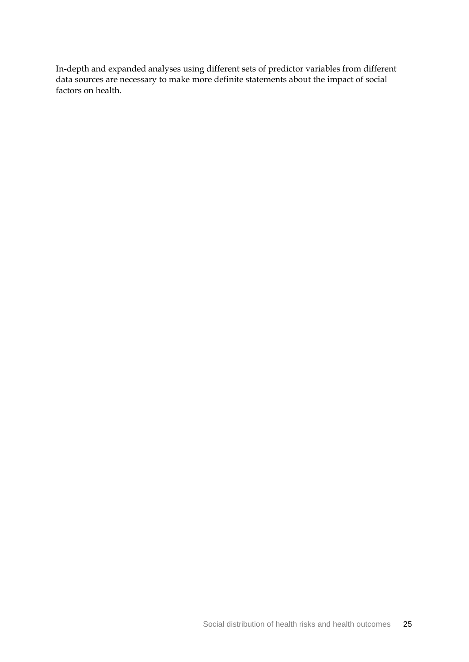In-depth and expanded analyses using different sets of predictor variables from different data sources are necessary to make more definite statements about the impact of social factors on health.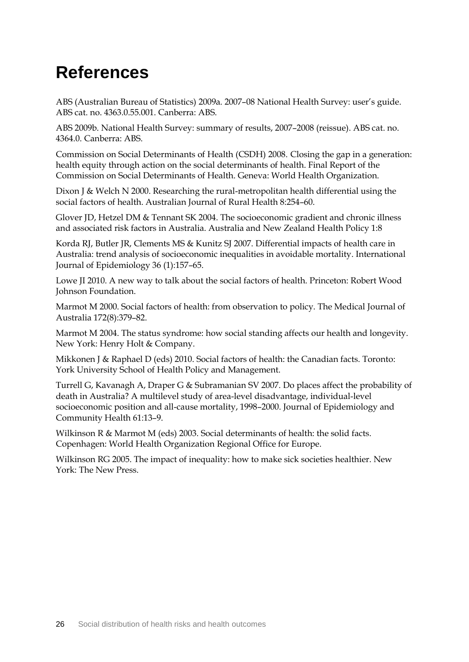## <span id="page-32-0"></span>**References**

ABS (Australian Bureau of Statistics) 2009a. 2007–08 National Health Survey: user's guide. ABS cat. no. 4363.0.55.001. Canberra: ABS.

ABS 2009b. National Health Survey: summary of results, 2007–2008 (reissue). ABS cat. no. 4364.0. Canberra: ABS.

Commission on Social Determinants of Health (CSDH) 2008. Closing the gap in a generation: health equity through action on the social determinants of health. Final Report of the Commission on Social Determinants of Health. Geneva: World Health Organization.

Dixon J & Welch N 2000. Researching the rural-metropolitan health differential using the social factors of health. Australian Journal of Rural Health 8:254–60.

Glover JD, Hetzel DM & Tennant SK 2004. The socioeconomic gradient and chronic illness and associated risk factors in Australia. Australia and New Zealand Health Policy 1:8

Korda RJ, Butler JR, Clements MS & Kunitz SJ 2007. Differential impacts of health care in Australia: trend analysis of socioeconomic inequalities in avoidable mortality. International Journal of Epidemiology 36 (1):157–65.

Lowe JI 2010. A new way to talk about the social factors of health. Princeton: Robert Wood Johnson Foundation.

Marmot M 2000. Social factors of health: from observation to policy. The Medical Journal of Australia 172(8):379–82.

Marmot M 2004. The status syndrome: how social standing affects our health and longevity. New York: Henry Holt & Company.

Mikkonen J & Raphael D (eds) 2010. Social factors of health: the Canadian facts. Toronto: York University School of Health Policy and Management.

Turrell G, Kavanagh A, Draper G & Subramanian SV 2007. Do places affect the probability of death in Australia? A multilevel study of area-level disadvantage, individual-level socioeconomic position and all-cause mortality, 1998–2000. Journal of Epidemiology and Community Health 61:13–9.

Wilkinson R & Marmot M (eds) 2003. Social determinants of health: the solid facts. Copenhagen: World Health Organization Regional Office for Europe.

Wilkinson RG 2005. The impact of inequality: how to make sick societies healthier. New York: The New Press.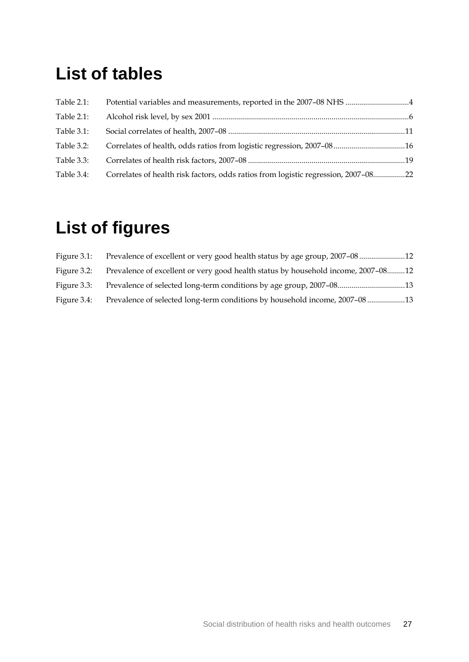## <span id="page-33-0"></span>**List of tables**

| Table 2.1: |                                                                                    |  |
|------------|------------------------------------------------------------------------------------|--|
| Table 2.1: |                                                                                    |  |
| Table 3.1: |                                                                                    |  |
| Table 3.2: | Correlates of health, odds ratios from logistic regression, 2007-0816              |  |
| Table 3.3: |                                                                                    |  |
| Table 3.4: | Correlates of health risk factors, odds ratios from logistic regression, 2007-0822 |  |

# <span id="page-33-1"></span>**List of figures**

| Figure 3.1: | Prevalence of excellent or very good health status by age group, 2007-08          |  |
|-------------|-----------------------------------------------------------------------------------|--|
| Figure 3.2: | Prevalence of excellent or very good health status by household income, 2007–0812 |  |
|             | Figure 3.3: Prevalence of selected long-term conditions by age group, 2007–0813   |  |
| Figure 3.4: | Prevalence of selected long-term conditions by household income, 2007-0813        |  |